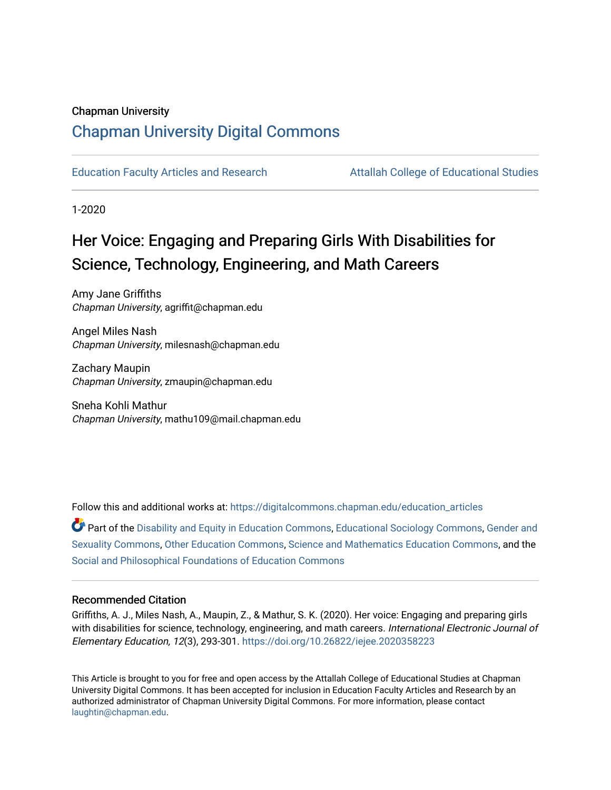### Chapman University

# [Chapman University Digital Commons](https://digitalcommons.chapman.edu/)

[Education Faculty Articles and Research](https://digitalcommons.chapman.edu/education_articles) [Attallah College of Educational Studies](https://digitalcommons.chapman.edu/ces) 

1-2020

# Her Voice: Engaging and Preparing Girls With Disabilities for Science, Technology, Engineering, and Math Careers

Amy Jane Griffiths Chapman University, agriffit@chapman.edu

Angel Miles Nash Chapman University, milesnash@chapman.edu

Zachary Maupin Chapman University, zmaupin@chapman.edu

Sneha Kohli Mathur Chapman University, mathu109@mail.chapman.edu

Follow this and additional works at: [https://digitalcommons.chapman.edu/education\\_articles](https://digitalcommons.chapman.edu/education_articles?utm_source=digitalcommons.chapman.edu%2Feducation_articles%2F244&utm_medium=PDF&utm_campaign=PDFCoverPages)

Part of the [Disability and Equity in Education Commons](http://network.bepress.com/hgg/discipline/1040?utm_source=digitalcommons.chapman.edu%2Feducation_articles%2F244&utm_medium=PDF&utm_campaign=PDFCoverPages), [Educational Sociology Commons](http://network.bepress.com/hgg/discipline/1071?utm_source=digitalcommons.chapman.edu%2Feducation_articles%2F244&utm_medium=PDF&utm_campaign=PDFCoverPages), [Gender and](http://network.bepress.com/hgg/discipline/420?utm_source=digitalcommons.chapman.edu%2Feducation_articles%2F244&utm_medium=PDF&utm_campaign=PDFCoverPages)  [Sexuality Commons,](http://network.bepress.com/hgg/discipline/420?utm_source=digitalcommons.chapman.edu%2Feducation_articles%2F244&utm_medium=PDF&utm_campaign=PDFCoverPages) [Other Education Commons,](http://network.bepress.com/hgg/discipline/811?utm_source=digitalcommons.chapman.edu%2Feducation_articles%2F244&utm_medium=PDF&utm_campaign=PDFCoverPages) [Science and Mathematics Education Commons,](http://network.bepress.com/hgg/discipline/800?utm_source=digitalcommons.chapman.edu%2Feducation_articles%2F244&utm_medium=PDF&utm_campaign=PDFCoverPages) and the [Social and Philosophical Foundations of Education Commons](http://network.bepress.com/hgg/discipline/799?utm_source=digitalcommons.chapman.edu%2Feducation_articles%2F244&utm_medium=PDF&utm_campaign=PDFCoverPages)

### Recommended Citation

Griffiths, A. J., Miles Nash, A., Maupin, Z., & Mathur, S. K. (2020). Her voice: Engaging and preparing girls with disabilities for science, technology, engineering, and math careers. International Electronic Journal of Elementary Education, 12(3), 293-301. <https://doi.org/10.26822/iejee.2020358223>

This Article is brought to you for free and open access by the Attallah College of Educational Studies at Chapman University Digital Commons. It has been accepted for inclusion in Education Faculty Articles and Research by an authorized administrator of Chapman University Digital Commons. For more information, please contact [laughtin@chapman.edu.](mailto:laughtin@chapman.edu)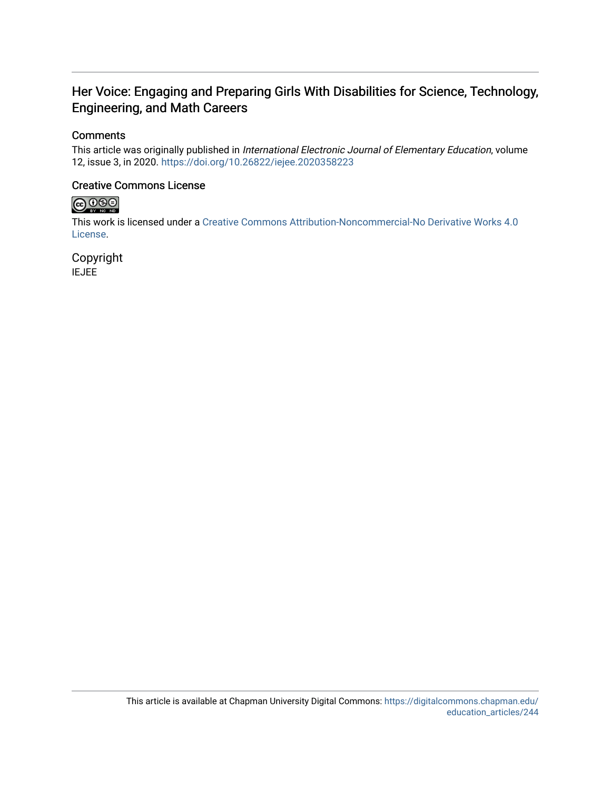# Her Voice: Engaging and Preparing Girls With Disabilities for Science, Technology, Engineering, and Math Careers

## **Comments**

This article was originally published in International Electronic Journal of Elementary Education, volume 12, issue 3, in 2020. <https://doi.org/10.26822/iejee.2020358223>

### Creative Commons License



This work is licensed under a [Creative Commons Attribution-Noncommercial-No Derivative Works 4.0](https://creativecommons.org/licenses/by-nc-nd/4.0/) [License](https://creativecommons.org/licenses/by-nc-nd/4.0/).

Copyright IEJEE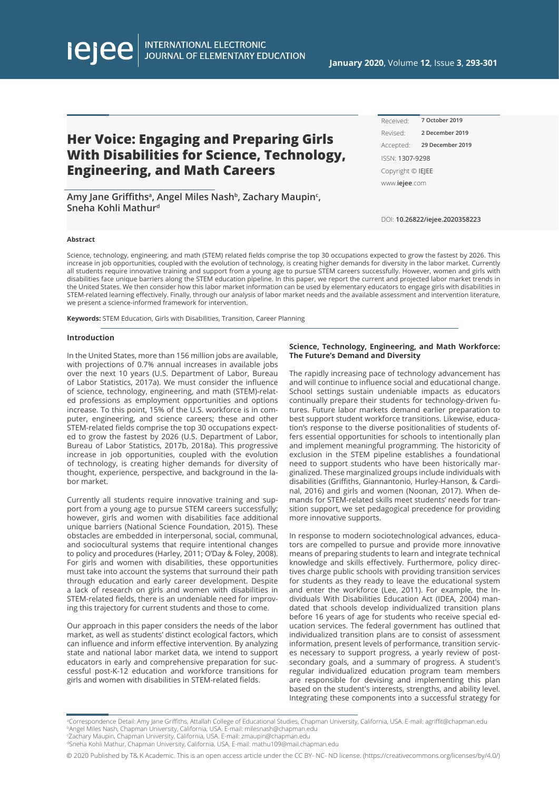INTERNATIONAL ELECTRONIC<br>JOURNAL OF ELEMENTARY EDUCATION

# **Her Voice: Engaging and Preparing Girls With Disabilities for Science, Technology, Engineering, and Math Careers**

**Amy Jane Griffithsa, Angel Miles Nashb, Zachary Maupinc , Sneha Kohli Mathurd**

Received: Revised: Accepted: **29 December 2019**ISSN: 1307-9298 Copyright © IEJEE www.**iejee**.com **7 October 2019 2 December 2019**

DOI: **10.26822/iejee.2020358223**

#### **Abstract**

lejee

Science, technology, engineering, and math (STEM) related fields comprise the top 30 occupations expected to grow the fastest by 2026. This increase in job opportunities, coupled with the evolution of technology, is creating higher demands for diversity in the labor market. Currently all students require innovative training and support from a young age to pursue STEM careers successfully. However, women and girls with disabilities face unique barriers along the STEM education pipeline. In this paper, we report the current and projected labor market trends in the United States. We then consider how this labor market information can be used by elementary educators to engage girls with disabilities in STEM-related learning effectively. Finally, through our analysis of labor market needs and the available assessment and intervention literature, we present a science-informed framework for intervention.

**Keywords:** STEM Education, Girls with Disabilities, Transition, Career Planning

#### **Introduction**

In the United States, more than 156 million jobs are available, with projections of 0.7% annual increases in available jobs over the next 10 years (U.S. Department of Labor, Bureau of Labor Statistics, 2017a). We must consider the influence of science, technology, engineering, and math (STEM)-related professions as employment opportunities and options increase. To this point, 15% of the U.S. workforce is in computer, engineering, and science careers; these and other STEM-related fields comprise the top 30 occupations expected to grow the fastest by 2026 (U.S. Department of Labor, Bureau of Labor Statistics, 2017b, 2018a). This progressive increase in job opportunities, coupled with the evolution of technology, is creating higher demands for diversity of thought, experience, perspective, and background in the labor market.

Currently all students require innovative training and support from a young age to pursue STEM careers successfully; however, girls and women with disabilities face additional unique barriers (National Science Foundation, 2015). These obstacles are embedded in interpersonal, social, communal, and sociocultural systems that require intentional changes to policy and procedures (Harley, 2011; O'Day & Foley, 2008). For girls and women with disabilities, these opportunities must take into account the systems that surround their path through education and early career development. Despite a lack of research on girls and women with disabilities in STEM-related fields, there is an undeniable need for improving this trajectory for current students and those to come.

Our approach in this paper considers the needs of the labor market, as well as students' distinct ecological factors, which can influence and inform effective intervention. By analyzing state and national labor market data, we intend to support educators in early and comprehensive preparation for successful post-K-12 education and workforce transitions for girls and women with disabilities in STEM-related fields.

#### **Science, Technology, Engineering, and Math Workforce: The Future's Demand and Diversity**

The rapidly increasing pace of technology advancement has and will continue to influence social and educational change. School settings sustain undeniable impacts as educators continually prepare their students for technology-driven futures. Future labor markets demand earlier preparation to best support student workforce transitions. Likewise, education's response to the diverse positionalities of students offers essential opportunities for schools to intentionally plan and implement meaningful programming. The historicity of exclusion in the STEM pipeline establishes a foundational need to support students who have been historically marginalized. These marginalized groups include individuals with disabilities (Griffiths, Giannantonio, Hurley-Hanson, & Cardinal, 2016) and girls and women (Noonan, 2017). When demands for STEM-related skills meet students' needs for transition support, we set pedagogical precedence for providing more innovative supports.

In response to modern sociotechnological advances, educators are compelled to pursue and provide more innovative means of preparing students to learn and integrate technical knowledge and skills effectively. Furthermore, policy directives charge public schools with providing transition services for students as they ready to leave the educational system and enter the workforce (Lee, 2011). For example, the Individuals With Disabilities Education Act (IDEA, 2004) mandated that schools develop individualized transition plans before 16 years of age for students who receive special education services. The federal government has outlined that individualized transition plans are to consist of assessment information, present levels of performance, transition services necessary to support progress, a yearly review of postsecondary goals, and a summary of progress. A student's regular individualized education program team members are responsible for devising and implementing this plan based on the student's interests, strengths, and ability level. Integrating these components into a successful strategy for

a Correspondence Detail: Amy Jane Griffiths, Attallah College of Educational Studies, Chapman University, California, USA. E-mail: agriffit@chapman.edu bAngel Miles Nash, Chapman University, California, USA. E-mail: milesnash@chapman.edu

c Zachary Maupin, Chapman University, California, USA. E-mail: zmaupin@chapman.edu

dSneha Kohli Mathur, Chapman University, California, USA. E-mail: mathu109@mail.chapman.edu

© 2020 Published by T& K Academic. This is an open access article under the CC BY- NC- ND license. (https://creativecommons.org/licenses/by/4.0/)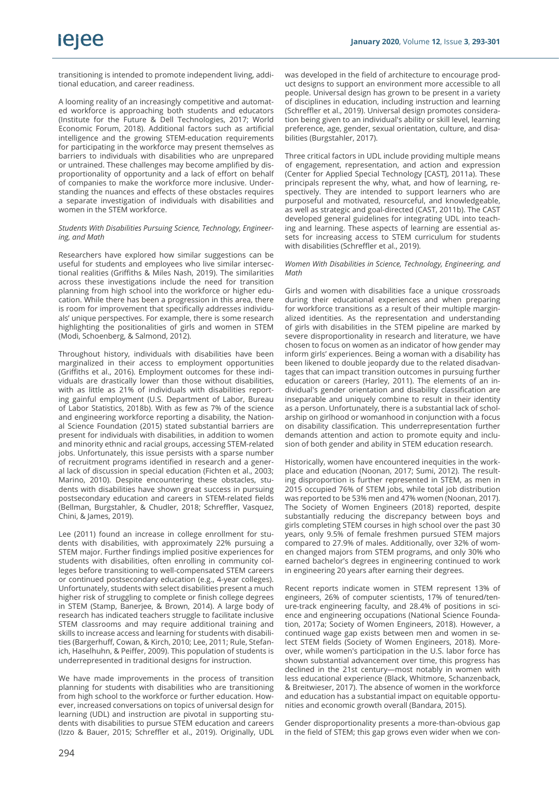transitioning is intended to promote independent living, additional education, and career readiness.

A looming reality of an increasingly competitive and automated workforce is approaching both students and educators (Institute for the Future & Dell Technologies, 2017; World Economic Forum, 2018). Additional factors such as artificial intelligence and the growing STEM-education requirements for participating in the workforce may present themselves as barriers to individuals with disabilities who are unprepared or untrained. These challenges may become amplified by disproportionality of opportunity and a lack of effort on behalf of companies to make the workforce more inclusive. Understanding the nuances and effects of these obstacles requires a separate investigation of individuals with disabilities and women in the STEM workforce.

#### *Students With Disabilities Pursuing Science, Technology, Engineering, and Math*

Researchers have explored how similar suggestions can be useful for students and employees who live similar intersectional realities (Griffiths & Miles Nash, 2019). The similarities across these investigations include the need for transition planning from high school into the workforce or higher education. While there has been a progression in this area, there is room for improvement that specifically addresses individuals' unique perspectives. For example, there is some research highlighting the positionalities of girls and women in STEM (Modi, Schoenberg, & Salmond, 2012).

Throughout history, individuals with disabilities have been marginalized in their access to employment opportunities (Griffiths et al., 2016). Employment outcomes for these individuals are drastically lower than those without disabilities, with as little as 21% of individuals with disabilities reporting gainful employment (U.S. Department of Labor, Bureau of Labor Statistics, 2018b). With as few as 7% of the science and engineering workforce reporting a disability, the National Science Foundation (2015) stated substantial barriers are present for individuals with disabilities, in addition to women and minority ethnic and racial groups, accessing STEM-related jobs. Unfortunately, this issue persists with a sparse number of recruitment programs identified in research and a general lack of discussion in special education (Fichten et al., 2003; Marino, 2010). Despite encountering these obstacles, students with disabilities have shown great success in pursuing postsecondary education and careers in STEM-related fields (Bellman, Burgstahler, & Chudler, 2018; Schreffler, Vasquez, Chini, & James, 2019).

Lee (2011) found an increase in college enrollment for students with disabilities, with approximately 22% pursuing a STEM major. Further findings implied positive experiences for students with disabilities, often enrolling in community colleges before transitioning to well-compensated STEM careers or continued postsecondary education (e.g., 4-year colleges). Unfortunately, students with select disabilities present a much higher risk of struggling to complete or finish college degrees in STEM (Stamp, Banerjee, & Brown, 2014). A large body of research has indicated teachers struggle to facilitate inclusive STEM classrooms and may require additional training and skills to increase access and learning for students with disabilities (Bargerhuff, Cowan, & Kirch, 2010; Lee, 2011; Rule, Stefanich, Haselhuhn, & Peiffer, 2009). This population of students is underrepresented in traditional designs for instruction.

We have made improvements in the process of transition planning for students with disabilities who are transitioning from high school to the workforce or further education. However, increased conversations on topics of universal design for learning (UDL) and instruction are pivotal in supporting students with disabilities to pursue STEM education and careers (Izzo & Bauer, 2015; Schreffler et al., 2019). Originally, UDL was developed in the field of architecture to encourage product designs to support an environment more accessible to all people. Universal design has grown to be present in a variety of disciplines in education, including instruction and learning (Schreffler et al., 2019). Universal design promotes consideration being given to an individual's ability or skill level, learning preference, age, gender, sexual orientation, culture, and disabilities (Burgstahler, 2017).

Three critical factors in UDL include providing multiple means of engagement, representation, and action and expression (Center for Applied Special Technology [CAST], 2011a). These principals represent the why, what, and how of learning, respectively. They are intended to support learners who are purposeful and motivated, resourceful, and knowledgeable, as well as strategic and goal-directed (CAST, 2011b). The CAST developed general guidelines for integrating UDL into teaching and learning. These aspects of learning are essential assets for increasing access to STEM curriculum for students with disabilities (Schreffler et al., 2019).

#### *Women With Disabilities in Science, Technology, Engineering, and Math*

Girls and women with disabilities face a unique crossroads during their educational experiences and when preparing for workforce transitions as a result of their multiple marginalized identities. As the representation and understanding of girls with disabilities in the STEM pipeline are marked by severe disproportionality in research and literature, we have chosen to focus on women as an indicator of how gender may inform girls' experiences. Being a woman with a disability has been likened to double jeopardy due to the related disadvantages that can impact transition outcomes in pursuing further education or careers (Harley, 2011). The elements of an individual's gender orientation and disability classification are inseparable and uniquely combine to result in their identity as a person. Unfortunately, there is a substantial lack of scholarship on girlhood or womanhood in conjunction with a focus on disability classification. This underrepresentation further demands attention and action to promote equity and inclusion of both gender and ability in STEM education research.

Historically, women have encountered inequities in the workplace and education (Noonan, 2017; Sumi, 2012). The resulting disproportion is further represented in STEM, as men in 2015 occupied 76% of STEM jobs, while total job distribution was reported to be 53% men and 47% women (Noonan, 2017). The Society of Women Engineers (2018) reported, despite substantially reducing the discrepancy between boys and girls completing STEM courses in high school over the past 30 years, only 9.5% of female freshmen pursued STEM majors compared to 27.9% of males. Additionally, over 32% of women changed majors from STEM programs, and only 30% who earned bachelor's degrees in engineering continued to work in engineering 20 years after earning their degrees.

Recent reports indicate women in STEM represent 13% of engineers, 26% of computer scientists, 17% of tenured/tenure-track engineering faculty, and 28.4% of positions in science and engineering occupations (National Science Foundation, 2017a; Society of Women Engineers, 2018). However, a continued wage gap exists between men and women in select STEM fields (Society of Women Engineers, 2018). Moreover, while women's participation in the U.S. labor force has shown substantial advancement over time, this progress has declined in the 21st century—most notably in women with less educational experience (Black, Whitmore, Schanzenback, & Breitwieser, 2017). The absence of women in the workforce and education has a substantial impact on equitable opportunities and economic growth overall (Bandara, 2015).

Gender disproportionality presents a more-than-obvious gap in the field of STEM; this gap grows even wider when we con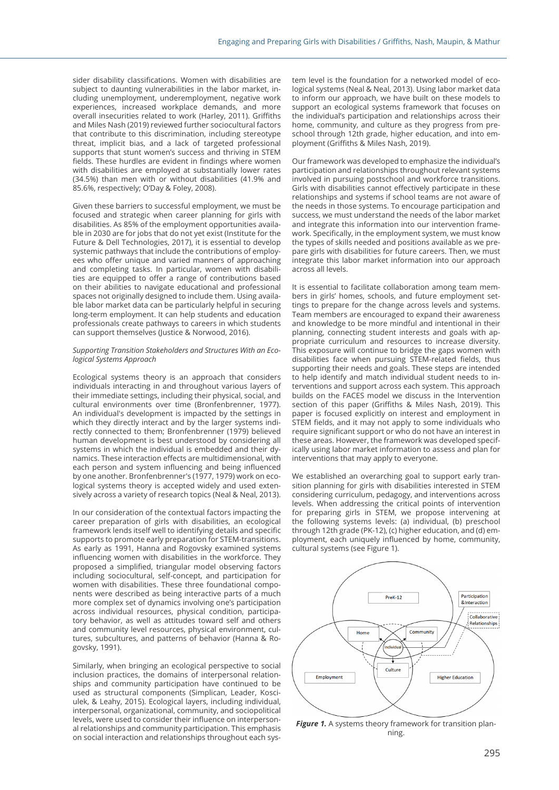sider disability classifications. Women with disabilities are subject to daunting vulnerabilities in the labor market, including unemployment, underemployment, negative work experiences, increased workplace demands, and more overall insecurities related to work (Harley, 2011). Griffiths and Miles Nash (2019) reviewed further sociocultural factors that contribute to this discrimination, including stereotype threat, implicit bias, and a lack of targeted professional supports that stunt women's success and thriving in STEM fields. These hurdles are evident in findings where women with disabilities are employed at substantially lower rates (34.5%) than men with or without disabilities (41.9% and 85.6%, respectively; O'Day & Foley, 2008).

Given these barriers to successful employment, we must be focused and strategic when career planning for girls with disabilities. As 85% of the employment opportunities available in 2030 are for jobs that do not yet exist (Institute for the Future & Dell Technologies, 2017), it is essential to develop systemic pathways that include the contributions of employees who offer unique and varied manners of approaching and completing tasks. In particular, women with disabilities are equipped to offer a range of contributions based on their abilities to navigate educational and professional spaces not originally designed to include them. Using available labor market data can be particularly helpful in securing long-term employment. It can help students and education professionals create pathways to careers in which students can support themselves (Justice & Norwood, 2016).

#### *Supporting Transition Stakeholders and Structures With an Ecological Systems Approach*

Ecological systems theory is an approach that considers individuals interacting in and throughout various layers of their immediate settings, including their physical, social, and cultural environments over time (Bronfenbrenner, 1977). An individual's development is impacted by the settings in which they directly interact and by the larger systems indirectly connected to them; Bronfenbrenner (1979) believed human development is best understood by considering all systems in which the individual is embedded and their dynamics. These interaction effects are multidimensional, with each person and system influencing and being influenced by one another. Bronfenbrenner's (1977, 1979) work on ecological systems theory is accepted widely and used extensively across a variety of research topics (Neal & Neal, 2013).

In our consideration of the contextual factors impacting the career preparation of girls with disabilities, an ecological framework lends itself well to identifying details and specific supports to promote early preparation for STEM-transitions. As early as 1991, Hanna and Rogovsky examined systems influencing women with disabilities in the workforce. They proposed a simplified, triangular model observing factors including sociocultural, self-concept, and participation for women with disabilities. These three foundational components were described as being interactive parts of a much more complex set of dynamics involving one's participation across individual resources, physical condition, participatory behavior, as well as attitudes toward self and others and community level resources, physical environment, cultures, subcultures, and patterns of behavior (Hanna & Rogovsky, 1991).

Similarly, when bringing an ecological perspective to social inclusion practices, the domains of interpersonal relationships and community participation have continued to be used as structural components (Simplican, Leader, Kosciulek, & Leahy, 2015). Ecological layers, including individual, interpersonal, organizational, community, and sociopolitical levels, were used to consider their influence on interpersonal relationships and community participation. This emphasis on social interaction and relationships throughout each system level is the foundation for a networked model of ecological systems (Neal & Neal, 2013). Using labor market data to inform our approach, we have built on these models to support an ecological systems framework that focuses on the individual's participation and relationships across their home, community, and culture as they progress from preschool through 12th grade, higher education, and into employment (Griffiths & Miles Nash, 2019).

Our framework was developed to emphasize the individual's participation and relationships throughout relevant systems involved in pursuing postschool and workforce transitions. Girls with disabilities cannot effectively participate in these relationships and systems if school teams are not aware of the needs in those systems. To encourage participation and success, we must understand the needs of the labor market and integrate this information into our intervention framework. Specifically, in the employment system, we must know the types of skills needed and positions available as we prepare girls with disabilities for future careers. Then, we must integrate this labor market information into our approach across all levels.

It is essential to facilitate collaboration among team members in girls' homes, schools, and future employment settings to prepare for the change across levels and systems. Team members are encouraged to expand their awareness and knowledge to be more mindful and intentional in their planning, connecting student interests and goals with appropriate curriculum and resources to increase diversity. This exposure will continue to bridge the gaps women with disabilities face when pursuing STEM-related fields, thus supporting their needs and goals. These steps are intended to help identify and match individual student needs to interventions and support across each system. This approach builds on the FACES model we discuss in the Intervention section of this paper (Griffiths & Miles Nash, 2019). This paper is focused explicitly on interest and employment in STEM fields, and it may not apply to some individuals who require significant support or who do not have an interest in these areas. However, the framework was developed specifically using labor market information to assess and plan for interventions that may apply to everyone.

We established an overarching goal to support early transition planning for girls with disabilities interested in STEM considering curriculum, pedagogy, and interventions across levels. When addressing the critical points of intervention for preparing girls in STEM, we propose intervening at the following systems levels: (a) individual, (b) preschool through 12th grade (PK-12), (c) higher education, and (d) employment, each uniquely influenced by home, community, cultural systems (see Figure 1).



*Figure 1.* A systems theory framework for transition planning.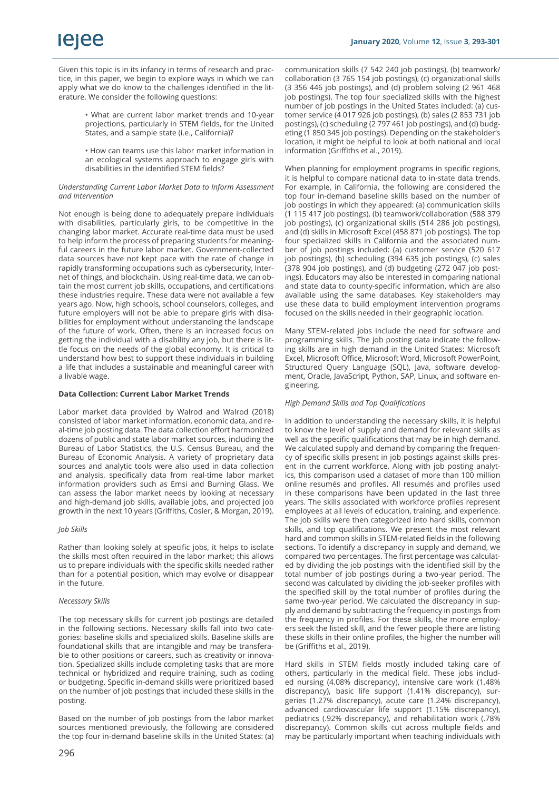Given this topic is in its infancy in terms of research and practice, in this paper, we begin to explore ways in which we can apply what we do know to the challenges identified in the literature. We consider the following questions:

> • What are current labor market trends and 10-year projections, particularly in STEM fields, for the United States, and a sample state (i.e., California)?

> • How can teams use this labor market information in an ecological systems approach to engage girls with disabilities in the identified STEM fields?

#### *Understanding Current Labor Market Data to Inform Assessment and Intervention*

Not enough is being done to adequately prepare individuals with disabilities, particularly girls, to be competitive in the changing labor market. Accurate real-time data must be used to help inform the process of preparing students for meaningful careers in the future labor market. Government-collected data sources have not kept pace with the rate of change in rapidly transforming occupations such as cybersecurity, Internet of things, and blockchain. Using real-time data, we can obtain the most current job skills, occupations, and certifications these industries require. These data were not available a few years ago. Now, high schools, school counselors, colleges, and future employers will not be able to prepare girls with disabilities for employment without understanding the landscape of the future of work. Often, there is an increased focus on getting the individual with a disability any job, but there is little focus on the needs of the global economy. It is critical to understand how best to support these individuals in building a life that includes a sustainable and meaningful career with a livable wage.

#### **Data Collection: Current Labor Market Trends**

Labor market data provided by Walrod and Walrod (2018) consisted of labor market information, economic data, and real-time job posting data. The data collection effort harmonized dozens of public and state labor market sources, including the Bureau of Labor Statistics, the U.S. Census Bureau, and the Bureau of Economic Analysis. A variety of proprietary data sources and analytic tools were also used in data collection and analysis, specifically data from real-time labor market information providers such as Emsi and Burning Glass. We can assess the labor market needs by looking at necessary and high-demand job skills, available jobs, and projected job growth in the next 10 years (Griffiths, Cosier, & Morgan, 2019).

#### *Job Skills*

Rather than looking solely at specific jobs, it helps to isolate the skills most often required in the labor market; this allows us to prepare individuals with the specific skills needed rather than for a potential position, which may evolve or disappear in the future.

#### *Necessary Skills*

The top necessary skills for current job postings are detailed in the following sections. Necessary skills fall into two categories: baseline skills and specialized skills. Baseline skills are foundational skills that are intangible and may be transferable to other positions or careers, such as creativity or innovation. Specialized skills include completing tasks that are more technical or hybridized and require training, such as coding or budgeting. Specific in-demand skills were prioritized based on the number of job postings that included these skills in the posting.

Based on the number of job postings from the labor market sources mentioned previously, the following are considered the top four in-demand baseline skills in the United States: (a)

communication skills (7 542 240 job postings), (b) teamwork/ collaboration (3 765 154 job postings), (c) organizational skills (3 356 446 job postings), and (d) problem solving (2 961 468 job postings). The top four specialized skills with the highest number of job postings in the United States included: (a) customer service (4 017 926 job postings), (b) sales (2 853 731 job postings), (c) scheduling (2 797 461 job postings), and (d) budgeting (1 850 345 job postings). Depending on the stakeholder's location, it might be helpful to look at both national and local information (Griffiths et al., 2019).

When planning for employment programs in specific regions, it is helpful to compare national data to in-state data trends. For example, in California, the following are considered the top four in-demand baseline skills based on the number of job postings in which they appeared: (a) communication skills (1 115 417 job postings), (b) teamwork/collaboration (588 379 job postings), (c) organizational skills (514 286 job postings), and (d) skills in Microsoft Excel (458 871 job postings). The top four specialized skills in California and the associated number of job postings included: (a) customer service (520 617 job postings), (b) scheduling (394 635 job postings), (c) sales (378 904 job postings), and (d) budgeting (272 047 job postings). Educators may also be interested in comparing national and state data to county-specific information, which are also available using the same databases. Key stakeholders may use these data to build employment intervention programs focused on the skills needed in their geographic location.

Many STEM-related jobs include the need for software and programming skills. The job posting data indicate the following skills are in high demand in the United States: Microsoft Excel, Microsoft Office, Microsoft Word, Microsoft PowerPoint, Structured Query Language (SQL), Java, software development, Oracle, JavaScript, Python, SAP, Linux, and software engineering.

#### *High Demand Skills and Top Qualifications*

In addition to understanding the necessary skills, it is helpful to know the level of supply and demand for relevant skills as well as the specific qualifications that may be in high demand. We calculated supply and demand by comparing the frequency of specific skills present in job postings against skills present in the current workforce. Along with job posting analytics, this comparison used a dataset of more than 100 million online resumés and profiles. All resumés and profiles used in these comparisons have been updated in the last three years. The skills associated with workforce profiles represent employees at all levels of education, training, and experience. The job skills were then categorized into hard skills, common skills, and top qualifications. We present the most relevant hard and common skills in STEM-related fields in the following sections. To identify a discrepancy in supply and demand, we compared two percentages. The first percentage was calculated by dividing the job postings with the identified skill by the total number of job postings during a two-year period. The second was calculated by dividing the job-seeker profiles with the specified skill by the total number of profiles during the same two-year period. We calculated the discrepancy in supply and demand by subtracting the frequency in postings from the frequency in profiles. For these skills, the more employers seek the listed skill, and the fewer people there are listing these skills in their online profiles, the higher the number will be (Griffiths et al., 2019).

Hard skills in STEM fields mostly included taking care of others, particularly in the medical field. These jobs included nursing (4.08% discrepancy), intensive care work (1.48% discrepancy), basic life support (1.41% discrepancy), surgeries (1.27% discrepancy), acute care (1.24% discrepancy), advanced cardiovascular life support (1.15% discrepancy), pediatrics (.92% discrepancy), and rehabilitation work (.78% discrepancy). Common skills cut across multiple fields and may be particularly important when teaching individuals with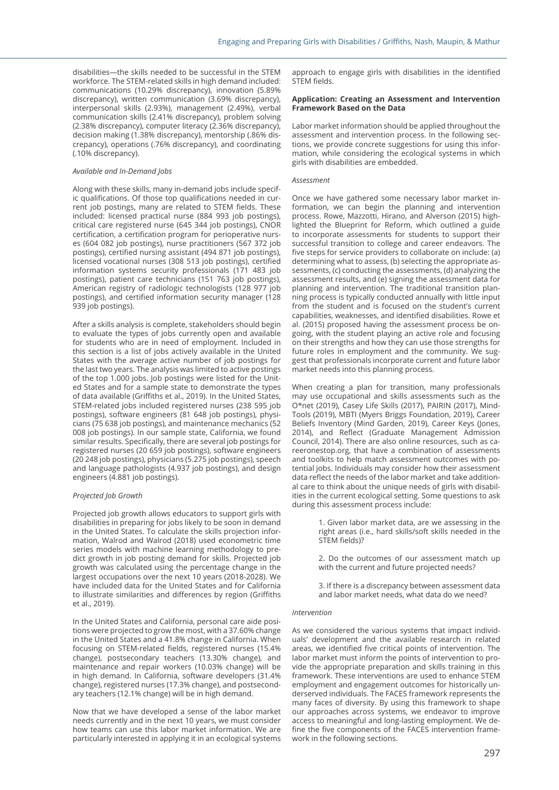disabilities—the skills needed to be successful in the STEM workforce. The STEM-related skills in high demand included: communications (10.29% discrepancy), innovation (5.89% discrepancy), written communication (3.69% discrepancy), interpersonal skills (2.93%), management (2.49%), verbal communication skills (2.41% discrepancy), problem solving (2.38% discrepancy), computer literacy (2.36% discrepancy), decision making (1.38% discrepancy), mentorship (.86% discrepancy), operations (.76% discrepancy), and coordinating (.10% discrepancy).

#### *Available and In-Demand Jobs*

Along with these skills, many in-demand jobs include specific qualifications. Of those top qualifications needed in current job postings, many are related to STEM fields. These included: licensed practical nurse (884 993 job postings), critical care registered nurse (645 344 job postings), CNOR certification, a certification program for perioperative nurses (604 082 job postings), nurse practitioners (567 372 job postings), certified nursing assistant (494 871 job postings), licensed vocational nurses (308 513 job postings), certified information systems security professionals (171 483 job postings), patient care technicians (151 763 job postings), American registry of radiologic technologists (128 977 job postings), and certified information security manager (128 939 job postings).

After a skills analysis is complete, stakeholders should begin to evaluate the types of jobs currently open and available for students who are in need of employment. Included in this section is a list of jobs actively available in the United States with the average active number of job postings for the last two years. The analysis was limited to active postings of the top 1.000 jobs. Job postings were listed for the United States and for a sample state to demonstrate the types of data available (Griffiths et al., 2019). In the United States, STEM-related jobs included registered nurses (238 595 job postings), software engineers (81 648 job postings), physicians (75 638 job postings), and maintenance mechanics (52 008 job postings). In our sample state, California, we found similar results. Specifically, there are several job postings for registered nurses (20 659 job postings), software engineers (20 248 job postings), physicians (5.275 job postings), speech and language pathologists (4.937 job postings), and design engineers (4.881 job postings).

#### *Projected Job Growth*

Projected job growth allows educators to support girls with disabilities in preparing for jobs likely to be soon in demand in the United States. To calculate the skills projection information, Walrod and Walrod (2018) used econometric time series models with machine learning methodology to predict growth in job posting demand for skills. Projected job growth was calculated using the percentage change in the largest occupations over the next 10 years (2018-2028). We have included data for the United States and for California to illustrate similarities and differences by region (Griffiths et al., 2019).

In the United States and California, personal care aide positions were projected to grow the most, with a 37.60% change in the United States and a 41.8% change in California. When focusing on STEM-related fields, registered nurses (15.4% change), postsecondary teachers (13.30% change), and maintenance and repair workers (10.03% change) will be in high demand. In California, software developers (31.4% change), registered nurses (17.3% change), and postsecondary teachers (12.1% change) will be in high demand.

Now that we have developed a sense of the labor market needs currently and in the next 10 years, we must consider how teams can use this labor market information. We are particularly interested in applying it in an ecological systems

approach to engage girls with disabilities in the identified STEM fields.

#### **Application: Creating an Assessment and Intervention Framework Based on the Data**

Labor market information should be applied throughout the assessment and intervention process. In the following sections, we provide concrete suggestions for using this information, while considering the ecological systems in which girls with disabilities are embedded.

#### *Assessment*

Once we have gathered some necessary labor market information, we can begin the planning and intervention process. Rowe, Mazzotti, Hirano, and Alverson (2015) highlighted the Blueprint for Reform, which outlined a guide to incorporate assessments for students to support their successful transition to college and career endeavors. The five steps for service providers to collaborate on include: (a) determining what to assess, (b) selecting the appropriate assessments, (c) conducting the assessments, (d) analyzing the assessment results, and (e) signing the assessment data for planning and intervention. The traditional transition planning process is typically conducted annually with little input from the student and is focused on the student's current capabilities, weaknesses, and identified disabilities. Rowe et al. (2015) proposed having the assessment process be ongoing, with the student playing an active role and focusing on their strengths and how they can use those strengths for future roles in employment and the community. We suggest that professionals incorporate current and future labor market needs into this planning process.

When creating a plan for transition, many professionals may use occupational and skills assessments such as the O\*net (2019), Casey Life Skills (2017), PAIRIN (2017), Mind-Tools (2019), MBTI (Myers Briggs Foundation, 2019), Career Beliefs Inventory (Mind Garden, 2019), Career Keys (Jones, 2014), and Reflect (Graduate Management Admission Council, 2014). There are also online resources, such as careeronestop.org, that have a combination of assessments and toolkits to help match assessment outcomes with potential jobs. Individuals may consider how their assessment data reflect the needs of the labor market and take additional care to think about the unique needs of girls with disabilities in the current ecological setting. Some questions to ask during this assessment process include:

> 1. Given labor market data, are we assessing in the right areas (i.e., hard skills/soft skills needed in the STEM fields)?

> 2. Do the outcomes of our assessment match up with the current and future projected needs?

> 3. If there is a discrepancy between assessment data and labor market needs, what data do we need?

#### *Intervention*

As we considered the various systems that impact individuals' development and the available research in related areas, we identified five critical points of intervention. The labor market must inform the points of intervention to provide the appropriate preparation and skills training in this framework. These interventions are used to enhance STEM employment and engagement outcomes for historically underserved individuals. The FACES framework represents the many faces of diversity. By using this framework to shape our approaches across systems, we endeavor to improve access to meaningful and long-lasting employment. We define the five components of the FACES intervention framework in the following sections.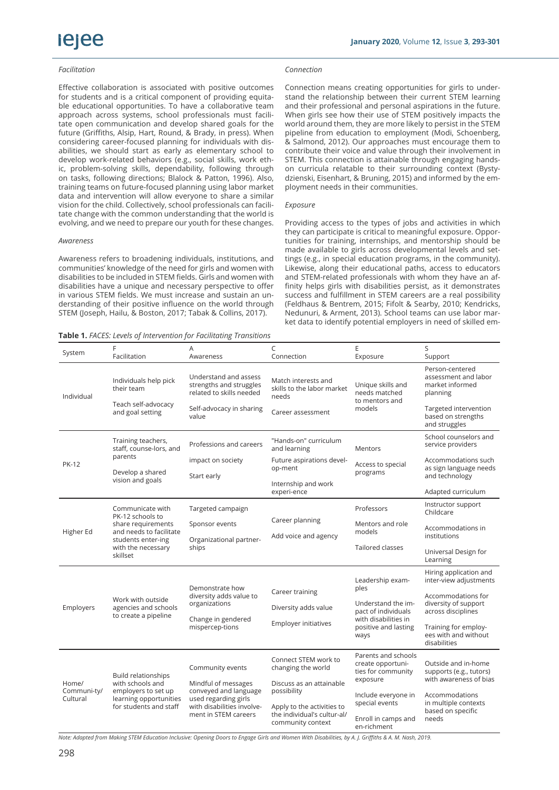# iejee

#### *Facilitation*

Effective collaboration is associated with positive outcomes for students and is a critical component of providing equitable educational opportunities. To have a collaborative team approach across systems, school professionals must facilitate open communication and develop shared goals for the future (Griffiths, Alsip, Hart, Round, & Brady, in press). When considering career-focused planning for individuals with disabilities, we should start as early as elementary school to develop work-related behaviors (e.g., social skills, work ethic, problem-solving skills, dependability, following through on tasks, following directions; Blalock & Patton, 1996). Also, training teams on future-focused planning using labor market data and intervention will allow everyone to share a similar vision for the child. Collectively, school professionals can facilitate change with the common understanding that the world is evolving, and we need to prepare our youth for these changes.

#### *Awareness*

Awareness refers to broadening individuals, institutions, and communities' knowledge of the need for girls and women with disabilities to be included in STEM fields. Girls and women with disabilities have a unique and necessary perspective to offer in various STEM fields. We must increase and sustain an understanding of their positive influence on the world through STEM (Joseph, Hailu, & Boston, 2017; Tabak & Collins, 2017).

**Table 1.** *FACES: Levels of Intervention for Facilitating Transitions*

#### *Connection*

Connection means creating opportunities for girls to understand the relationship between their current STEM learning and their professional and personal aspirations in the future. When girls see how their use of STEM positively impacts the world around them, they are more likely to persist in the STEM pipeline from education to employment (Modi, Schoenberg, & Salmond, 2012). Our approaches must encourage them to contribute their voice and value through their involvement in STEM. This connection is attainable through engaging handson curricula relatable to their surrounding context (Bystydzienski, Eisenhart, & Bruning, 2015) and informed by the employment needs in their communities.

#### *Exposure*

Providing access to the types of jobs and activities in which they can participate is critical to meaningful exposure. Opportunities for training, internships, and mentorship should be made available to girls across developmental levels and settings (e.g., in special education programs, in the community). Likewise, along their educational paths, access to educators and STEM-related professionals with whom they have an affinity helps girls with disabilities persist, as it demonstrates success and fulfillment in STEM careers are a real possibility (Feldhaus & Bentrem, 2015; Fifolt & Searby, 2010; Kendricks, Nedunuri, & Arment, 2013). School teams can use labor market data to identify potential employers in need of skilled em-

| System                           | F<br>Facilitation                                                                                                                             | A<br>Awareness                                                                                                                                 | C<br>Connection                                            | E<br>Exposure                                                                                                                 | S<br>Support                                                                                    |
|----------------------------------|-----------------------------------------------------------------------------------------------------------------------------------------------|------------------------------------------------------------------------------------------------------------------------------------------------|------------------------------------------------------------|-------------------------------------------------------------------------------------------------------------------------------|-------------------------------------------------------------------------------------------------|
| Individual                       | Individuals help pick<br>their team<br>Teach self-advocacy<br>and goal setting                                                                | Understand and assess<br>strengths and struggles<br>related to skills needed<br>Self-advocacy in sharing                                       | Match interests and<br>skills to the labor market<br>needs | Unique skills and<br>needs matched<br>to mentors and<br>models                                                                | Person-centered<br>assessment and labor<br>market informed<br>planning<br>Targeted intervention |
|                                  |                                                                                                                                               | value                                                                                                                                          | Career assessment                                          |                                                                                                                               | based on strengths<br>and struggles                                                             |
| <b>PK-12</b>                     | Training teachers,<br>staff, counse-lors, and<br>parents<br>Develop a shared<br>vision and goals                                              | Professions and careers                                                                                                                        | "Hands-on" curriculum<br>and learning                      | <b>Mentors</b>                                                                                                                | School counselors and<br>service providers                                                      |
|                                  |                                                                                                                                               | impact on society<br>Start early                                                                                                               | Future aspirations devel-<br>op-ment                       | Access to special<br>programs                                                                                                 | Accommodations such<br>as sign language needs<br>and technology                                 |
|                                  |                                                                                                                                               |                                                                                                                                                | Internship and work<br>experi-ence                         |                                                                                                                               | Adapted curriculum                                                                              |
| Higher Ed                        | Communicate with<br>PK-12 schools to<br>share requirements<br>and needs to facilitate<br>students enter-ing<br>with the necessary<br>skillset | Targeted campaign                                                                                                                              |                                                            | Professors                                                                                                                    | Instructor support<br>Childcare                                                                 |
|                                  |                                                                                                                                               | Sponsor events<br>Organizational partner-<br>ships                                                                                             | Career planning<br>Add voice and agency                    | Mentors and role<br>models                                                                                                    | Accommodations in<br>institutions                                                               |
|                                  |                                                                                                                                               |                                                                                                                                                |                                                            | Tailored classes                                                                                                              | Universal Design for<br>Learning                                                                |
| Employers                        | Work with outside<br>agencies and schools<br>to create a pipeline                                                                             | Demonstrate how<br>diversity adds value to<br>organizations<br>Change in gendered<br>mispercep-tions                                           |                                                            | Leadership exam-<br>ples<br>Understand the im-<br>pact of individuals<br>with disabilities in<br>positive and lasting<br>ways | Hiring application and<br>inter-view adjustments                                                |
|                                  |                                                                                                                                               |                                                                                                                                                | Career training                                            |                                                                                                                               | Accommodations for<br>diversity of support<br>across disciplines                                |
|                                  |                                                                                                                                               |                                                                                                                                                | Diversity adds value<br>Employer initiatives               |                                                                                                                               |                                                                                                 |
|                                  |                                                                                                                                               |                                                                                                                                                |                                                            |                                                                                                                               | Training for employ-<br>ees with and without<br>disabilities                                    |
| Home/<br>Communi-ty/<br>Cultural | <b>Build relationships</b><br>with schools and<br>employers to set up<br>learning opportunities<br>for students and staff                     | Community events<br>Mindful of messages<br>conveyed and language<br>used regarding girls<br>with disabilities involve-<br>ment in STEM careers | Connect STEM work to<br>changing the world                 | Parents and schools<br>create opportuni-<br>ties for community<br>exposure                                                    | Outside and in-home<br>supports (e.g., tutors)                                                  |
|                                  |                                                                                                                                               |                                                                                                                                                | Discuss as an attainable                                   |                                                                                                                               | with awareness of bias                                                                          |
|                                  |                                                                                                                                               |                                                                                                                                                | possibility<br>Apply to the activities to                  | Include everyone in<br>special events                                                                                         | Accommodations<br>in multiple contexts                                                          |
|                                  |                                                                                                                                               |                                                                                                                                                | the individual's cultur-al/<br>community context           | Enroll in camps and<br>en-richment                                                                                            | based on specific<br>needs                                                                      |

*Note: Adapted from Making STEM Education Inclusive: Opening Doors to Engage Girls and Women With Disabilities, by A. J. Griffiths & A. M. Nash, 2019.*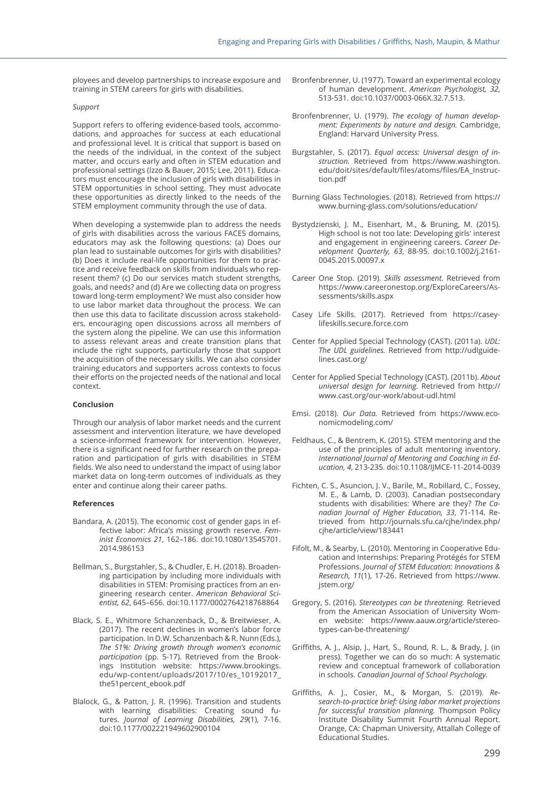ployees and develop partnerships to increase exposure and training in STEM careers for girls with disabilities.

#### *Support*

Support refers to offering evidence-based tools, accommodations, and approaches for success at each educational and professional level. It is critical that support is based on the needs of the individual, in the context of the subject matter, and occurs early and often in STEM education and professional settings (Izzo & Bauer, 2015; Lee, 2011). Educators must encourage the inclusion of girls with disabilities in STEM opportunities in school setting. They must advocate these opportunities as directly linked to the needs of the STEM employment community through the use of data.

When developing a systemwide plan to address the needs of girls with disabilities across the various FACES domains, educators may ask the following questions: (a) Does our plan lead to sustainable outcomes for girls with disabilities? (b) Does it include real-life opportunities for them to practice and receive feedback on skills from individuals who represent them? (c) Do our services match student strengths, goals, and needs? and (d) Are we collecting data on progress toward long-term employment? We must also consider how to use labor market data throughout the process. We can then use this data to facilitate discussion across stakeholders, encouraging open discussions across all members of the system along the pipeline. We can use this information to assess relevant areas and create transition plans that include the right supports, particularly those that support the acquisition of the necessary skills. We can also consider training educators and supporters across contexts to focus their efforts on the projected needs of the national and local context.

#### **Conclusion**

Through our analysis of labor market needs and the current assessment and intervention literature, we have developed a science-informed framework for intervention. However, there is a significant need for further research on the preparation and participation of girls with disabilities in STEM fields. We also need to understand the impact of using labor market data on long-term outcomes of individuals as they enter and continue along their career paths.

#### **References**

- Bandara, A. (2015). The economic cost of gender gaps in effective labor: Africa's missing growth reserve. *Feminist Economics 21*, 162–186. doi:10.1080/13545701. 2014.986153
- Bellman, S., Burgstahler, S., & Chudler, E. H. (2018). Broadening participation by including more individuals with disabilities in STEM: Promising practices from an engineering research center. *American Behavioral Scientist, 62*, 645–656. doi:10.1177/0002764218768864
- Black, S. E., Whitmore Schanzenback, D., & Breitwieser, A. (2017). The recent declines in women's labor force participation. In D.W. Schanzenbach & R. Nunn (Eds.), *The 51%: Driving growth through women's economic participation* (pp. 5-17). Retrieved from the Brookings Institution website: https://www.brookings. edu/wp-content/uploads/2017/10/es\_10192017\_ the51percent\_ebook.pdf
- Blalock, G., & Patton, J. R. (1996). Transition and students with learning disabilities: Creating sound futures. *Journal of Learning Disabilities, 29*(1), 7-16. doi:10.1177/002221949602900104
- Bronfenbrenner, U. (1977). Toward an experimental ecology of human development. *American Psychologist, 32*, 513-531. doi:10.1037/0003-066X.32.7.513.
- Bronfenbrenner, U. (1979). *The ecology of human development: Experiments by nature and design.* Cambridge, England: Harvard University Press.
- Burgstahler, S. (2017). *Equal access: Universal design of instruction.* Retrieved from https://www.washington. edu/doit/sites/default/files/atoms/files/EA\_Instruction.pdf
- Burning Glass Technologies. (2018). Retrieved from https:// www.burning-glass.com/solutions/education/
- Bystydzienski, J. M., Eisenhart, M., & Bruning, M. (2015). High school is not too late: Developing girls' interest and engagement in engineering careers. *Career Development Quarterly, 63*, 88-95. doi:10.1002/j.2161- 0045.2015.00097.x
- Career One Stop. (2019). *Skills assessment.* Retrieved from https://www.careeronestop.org/ExploreCareers/Assessments/skills.aspx
- Casey Life Skills. (2017). Retrieved from https://caseylifeskills.secure.force.com
- Center for Applied Special Technology (CAST). (2011a). *UDL: The UDL guidelines.* Retrieved from http://udlguidelines.cast.org/
- Center for Applied Special Technology (CAST). (2011b). *About universal design for learning.* Retrieved from http:// www.cast.org/our-work/about-udl.html
- Emsi. (2018). *Our Data.* Retrieved from https://www.economicmodeling.com/
- Feldhaus, C., & Bentrem, K. (2015). STEM mentoring and the use of the principles of adult mentoring inventory. *International Journal of Mentoring and Coaching in Education, 4*, 213-235. doi:10.1108/IJMCE-11-2014-0039
- Fichten, C. S., Asuncion, J. V., Barile, M., Robillard, C., Fossey, M. E., & Lamb, D. (2003). Canadian postsecondary students with disabilities: Where are they? *The Canadian Journal of Higher Education, 33*, 71-114. Retrieved from http://journals.sfu.ca/cjhe/index.php/ cjhe/article/view/183441
- Fifolt, M., & Searby, L. (2010). Mentoring in Cooperative Education and Internships: Preparing Protégés for STEM Professions. *Journal of STEM Education: Innovations & Research, 11*(1), 17-26. Retrieved from https://www. jstem.org/
- Gregory, S. (2016). *Stereotypes can be threatening.* Retrieved from the American Association of University Women website: https://www.aauw.org/article/stereotypes-can-be-threatening/
- Griffiths, A. J., Alsip, J., Hart, S., Round, R. L., & Brady, J. (in press). Together we can do so much: A systematic review and conceptual framework of collaboration in schools. *Canadian Journal of School Psychology.*
- Griffiths, A. J., Cosier, M., & Morgan, S. (2019). *Research-to-practice brief: Using labor market projections for successful transition planning.* Thompson Policy Institute Disability Summit Fourth Annual Report. Orange, CA: Chapman University, Attallah College of Educational Studies.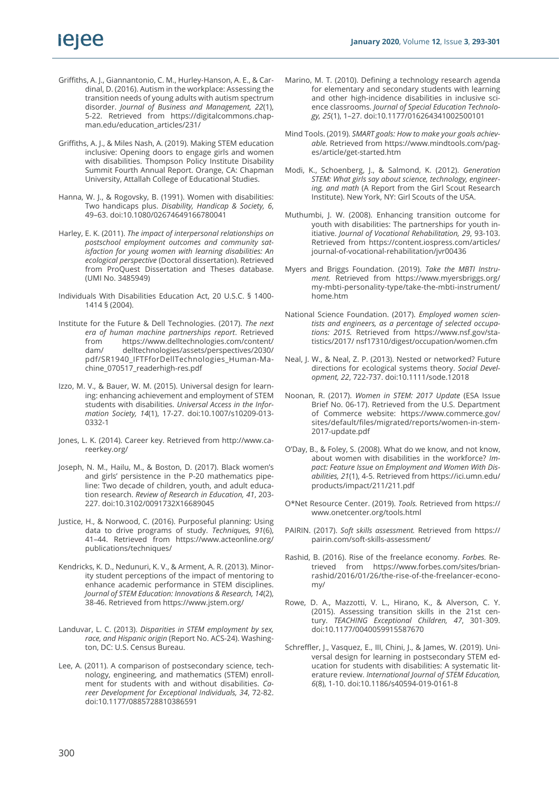- Griffiths, A. J., Giannantonio, C. M., Hurley-Hanson, A. E., & Cardinal, D. (2016). Autism in the workplace: Assessing the transition needs of young adults with autism spectrum disorder. *Journal of Business and Management, 22*(1), 5-22. Retrieved from https://digitalcommons.chapman.edu/education\_articles/231/
- Griffiths, A. J., & Miles Nash, A. (2019). Making STEM education inclusive: Opening doors to engage girls and women with disabilities. Thompson Policy Institute Disability Summit Fourth Annual Report. Orange, CA: Chapman University, Attallah College of Educational Studies.
- Hanna, W. J., & Rogovsky, B. (1991). Women with disabilities: Two handicaps plus. *Disability, Handicap & Society, 6*, 49–63. doi:10.1080/02674649166780041
- Harley, E. K. (2011). *The impact of interpersonal relationships on postschool employment outcomes and community satisfaction for young women with learning disabilities: An ecological perspective* (Doctoral dissertation). Retrieved from ProQuest Dissertation and Theses database. (UMI No. 3485949)
- Individuals With Disabilities Education Act, 20 U.S.C. § 1400- 1414 § (2004).
- Institute for the Future & Dell Technologies. (2017). *The next era of human machine partnerships report*. Retrieved from https://www.delltechnologies.com/content/ dam/ delltechnologies/assets/perspectives/2030/ pdf/SR1940\_IFTFforDellTechnologies\_Human-Machine\_070517\_readerhigh-res.pdf
- Izzo, M. V., & Bauer, W. M. (2015). Universal design for learning: enhancing achievement and employment of STEM students with disabilities. *Universal Access in the Information Society, 14*(1), 17-27. doi:10.1007/s10209-013- 0332-1
- Jones, L. K. (2014). Career key. Retrieved from http://www.careerkey.org/
- Joseph, N. M., Hailu, M., & Boston, D. (2017). Black women's and girls' persistence in the P-20 mathematics pipeline: Two decade of children, youth, and adult education research. *Review of Research in Education, 41*, 203- 227. doi:10.3102/0091732X16689045
- Justice, H., & Norwood, C. (2016). Purposeful planning: Using data to drive programs of study. *Techniques, 91*(6), 41–44. Retrieved from https://www.acteonline.org/ publications/techniques/
- Kendricks, K. D., Nedunuri, K. V., & Arment, A. R. (2013). Minority student perceptions of the impact of mentoring to enhance academic performance in STEM disciplines. *Journal of STEM Education: Innovations & Research, 14*(2), 38-46. Retrieved from https://www.jstem.org/
- Landuvar, L. C. (2013). *Disparities in STEM employment by sex, race, and Hispanic origin* (Report No. ACS-24). Washington, DC: U.S. Census Bureau.
- Lee, A. (2011). A comparison of postsecondary science, technology, engineering, and mathematics (STEM) enrollment for students with and without disabilities. *Career Development for Exceptional Individuals, 34*, 72-82. doi:10.1177/0885728810386591
- Marino, M. T. (2010). Defining a technology research agenda for elementary and secondary students with learning and other high-incidence disabilities in inclusive science classrooms. *Journal of Special Education Technology, 25*(1), 1–27. doi:10.1177/016264341002500101
- Mind Tools. (2019). *SMART goals: How to make your goals achievable.* Retrieved from https://www.mindtools.com/pages/article/get-started.htm
- Modi, K., Schoenberg, J., & Salmond, K. (2012). *Generation STEM: What girls say about science, technology, engineering, and math* (A Report from the Girl Scout Research Institute). New York, NY: Girl Scouts of the USA.
- Muthumbi, J. W. (2008). Enhancing transition outcome for youth with disabilities: The partnerships for youth initiative. *Journal of Vocational Rehabilitation, 29*, 93-103. Retrieved from https://content.iospress.com/articles/ journal-of-vocational-rehabilitation/jvr00436
- Myers and Briggs Foundation. (2019). *Take the MBTI Instru*ment. Retrieved from https://www.myersbriggs.org/ my-mbti-personality-type/take-the-mbti-instrument/ home.htm
- National Science Foundation. (2017). *Employed women scientists and engineers, as a percentage of selected occupations: 2015.* Retrieved from https://www.nsf.gov/statistics/2017/ nsf17310/digest/occupation/women.cfm
- Neal, J. W., & Neal, Z. P. (2013). Nested or networked? Future directions for ecological systems theory. *Social Development, 22*, 722-737. doi:10.1111/sode.12018
- Noonan, R. (2017). *Women in STEM: 2017 Update* (ESA Issue Brief No. 06-17). Retrieved from the U.S. Department of Commerce website: https://www.commerce.gov/ sites/default/files/migrated/reports/women-in-stem-2017-update.pdf
- O'Day, B., & Foley, S. (2008). What do we know, and not know, about women with disabilities in the workforce? *Impact: Feature Issue on Employment and Women With Disabilities, 21*(1), 4-5. Retrieved from https://ici.umn.edu/ products/impact/211/211.pdf
- O\*Net Resource Center. (2019). *Tools.* Retrieved from https:// www.onetcenter.org/tools.html
- PAIRIN. (2017). *Soft skills assessment.* Retrieved from https:// pairin.com/soft-skills-assessment/
- Rashid, B. (2016). Rise of the freelance economy. *Forbes.* Retrieved from https://www.forbes.com/sites/brianrashid/2016/01/26/the-rise-of-the-freelancer-economy/
- Rowe, D. A., Mazzotti, V. L., Hirano, K., & Alverson, C. Y. (2015). Assessing transition skills in the 21st century. *TEACHING Exceptional Children, 47*, 301-309. doi:10.1177/0040059915587670
- Schreffler, J., Vasquez, E., III, Chini, J., & James, W. (2019). Universal design for learning in postsecondary STEM education for students with disabilities: A systematic literature review. *International Journal of STEM Education, 6*(8), 1-10. doi:10.1186/s40594-019-0161-8